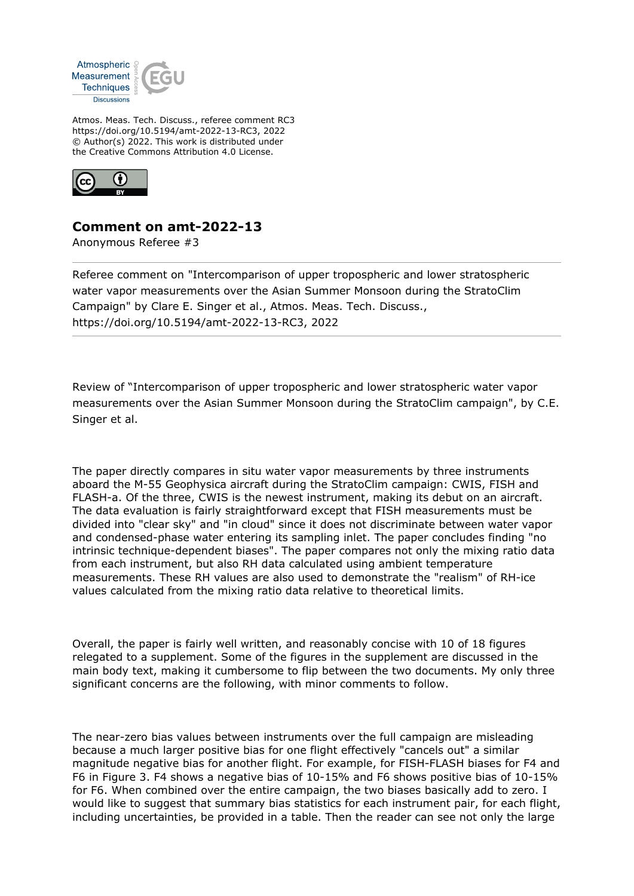

Atmos. Meas. Tech. Discuss., referee comment RC3 https://doi.org/10.5194/amt-2022-13-RC3, 2022 © Author(s) 2022. This work is distributed under the Creative Commons Attribution 4.0 License.



## **Comment on amt-2022-13**

Anonymous Referee #3

Referee comment on "Intercomparison of upper tropospheric and lower stratospheric water vapor measurements over the Asian Summer Monsoon during the StratoClim Campaign" by Clare E. Singer et al., Atmos. Meas. Tech. Discuss., https://doi.org/10.5194/amt-2022-13-RC3, 2022

Review of "Intercomparison of upper tropospheric and lower stratospheric water vapor measurements over the Asian Summer Monsoon during the StratoClim campaign", by C.E. Singer et al.

The paper directly compares in situ water vapor measurements by three instruments aboard the M-55 Geophysica aircraft during the StratoClim campaign: CWIS, FISH and FLASH-a. Of the three, CWIS is the newest instrument, making its debut on an aircraft. The data evaluation is fairly straightforward except that FISH measurements must be divided into "clear sky" and "in cloud" since it does not discriminate between water vapor and condensed-phase water entering its sampling inlet. The paper concludes finding "no intrinsic technique-dependent biases". The paper compares not only the mixing ratio data from each instrument, but also RH data calculated using ambient temperature measurements. These RH values are also used to demonstrate the "realism" of RH-ice values calculated from the mixing ratio data relative to theoretical limits.

Overall, the paper is fairly well written, and reasonably concise with 10 of 18 figures relegated to a supplement. Some of the figures in the supplement are discussed in the main body text, making it cumbersome to flip between the two documents. My only three significant concerns are the following, with minor comments to follow.

The near-zero bias values between instruments over the full campaign are misleading because a much larger positive bias for one flight effectively "cancels out" a similar magnitude negative bias for another flight. For example, for FISH-FLASH biases for F4 and F6 in Figure 3. F4 shows a negative bias of 10-15% and F6 shows positive bias of 10-15% for F6. When combined over the entire campaign, the two biases basically add to zero. I would like to suggest that summary bias statistics for each instrument pair, for each flight, including uncertainties, be provided in a table. Then the reader can see not only the large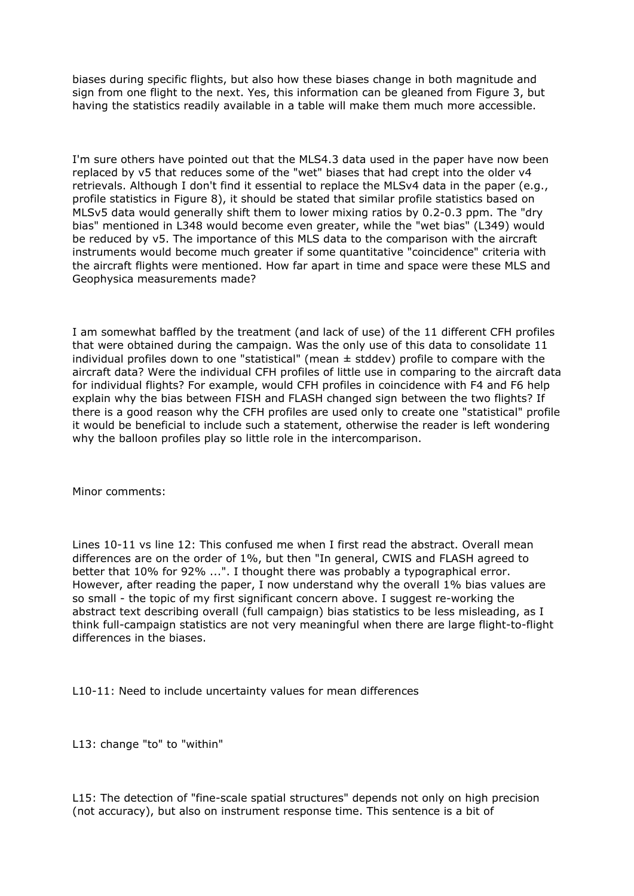biases during specific flights, but also how these biases change in both magnitude and sign from one flight to the next. Yes, this information can be gleaned from Figure 3, but having the statistics readily available in a table will make them much more accessible.

I'm sure others have pointed out that the MLS4.3 data used in the paper have now been replaced by v5 that reduces some of the "wet" biases that had crept into the older v4 retrievals. Although I don't find it essential to replace the MLSv4 data in the paper (e.g., profile statistics in Figure 8), it should be stated that similar profile statistics based on MLSv5 data would generally shift them to lower mixing ratios by 0.2-0.3 ppm. The "dry bias" mentioned in L348 would become even greater, while the "wet bias" (L349) would be reduced by v5. The importance of this MLS data to the comparison with the aircraft instruments would become much greater if some quantitative "coincidence" criteria with the aircraft flights were mentioned. How far apart in time and space were these MLS and Geophysica measurements made?

I am somewhat baffled by the treatment (and lack of use) of the 11 different CFH profiles that were obtained during the campaign. Was the only use of this data to consolidate 11 individual profiles down to one "statistical" (mean  $\pm$  stddev) profile to compare with the aircraft data? Were the individual CFH profiles of little use in comparing to the aircraft data for individual flights? For example, would CFH profiles in coincidence with F4 and F6 help explain why the bias between FISH and FLASH changed sign between the two flights? If there is a good reason why the CFH profiles are used only to create one "statistical" profile it would be beneficial to include such a statement, otherwise the reader is left wondering why the balloon profiles play so little role in the intercomparison.

Minor comments:

Lines 10-11 vs line 12: This confused me when I first read the abstract. Overall mean differences are on the order of 1%, but then "In general, CWIS and FLASH agreed to better that 10% for 92% ...". I thought there was probably a typographical error. However, after reading the paper, I now understand why the overall 1% bias values are so small - the topic of my first significant concern above. I suggest re-working the abstract text describing overall (full campaign) bias statistics to be less misleading, as I think full-campaign statistics are not very meaningful when there are large flight-to-flight differences in the biases.

L10-11: Need to include uncertainty values for mean differences

L13: change "to" to "within"

L15: The detection of "fine-scale spatial structures" depends not only on high precision (not accuracy), but also on instrument response time. This sentence is a bit of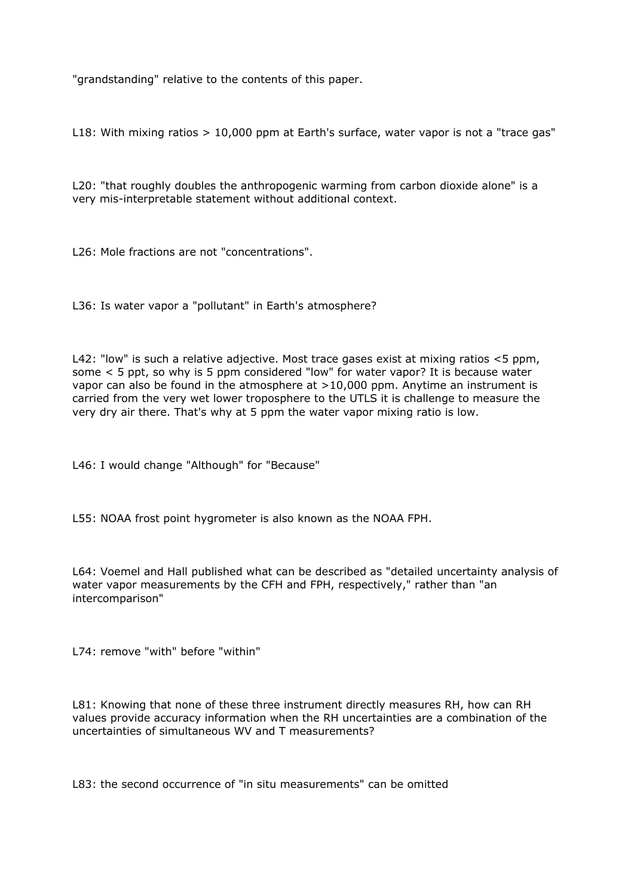"grandstanding" relative to the contents of this paper.

L18: With mixing ratios > 10,000 ppm at Earth's surface, water vapor is not a "trace gas"

L20: "that roughly doubles the anthropogenic warming from carbon dioxide alone" is a very mis-interpretable statement without additional context.

L26: Mole fractions are not "concentrations".

L36: Is water vapor a "pollutant" in Earth's atmosphere?

L42: "low" is such a relative adjective. Most trace gases exist at mixing ratios <5 ppm, some < 5 ppt, so why is 5 ppm considered "low" for water vapor? It is because water vapor can also be found in the atmosphere at >10,000 ppm. Anytime an instrument is carried from the very wet lower troposphere to the UTLS it is challenge to measure the very dry air there. That's why at 5 ppm the water vapor mixing ratio is low.

L46: I would change "Although" for "Because"

L55: NOAA frost point hygrometer is also known as the NOAA FPH.

L64: Voemel and Hall published what can be described as "detailed uncertainty analysis of water vapor measurements by the CFH and FPH, respectively," rather than "an intercomparison"

L74: remove "with" before "within"

L81: Knowing that none of these three instrument directly measures RH, how can RH values provide accuracy information when the RH uncertainties are a combination of the uncertainties of simultaneous WV and T measurements?

L83: the second occurrence of "in situ measurements" can be omitted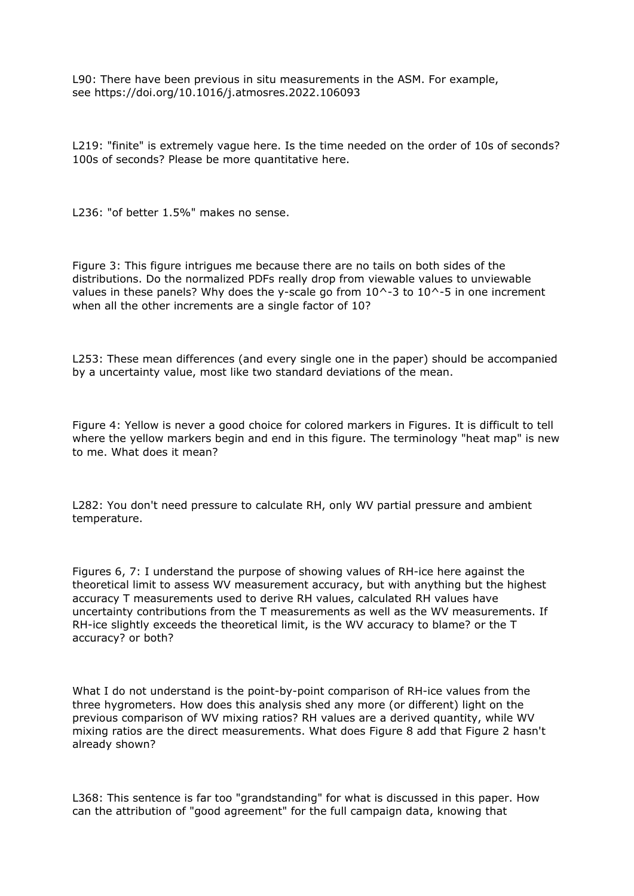L90: There have been previous in situ measurements in the ASM. For example, see https://doi.org/10.1016/j.atmosres.2022.106093

L219: "finite" is extremely vague here. Is the time needed on the order of 10s of seconds? 100s of seconds? Please be more quantitative here.

L236: "of better 1.5%" makes no sense.

Figure 3: This figure intrigues me because there are no tails on both sides of the distributions. Do the normalized PDFs really drop from viewable values to unviewable values in these panels? Why does the y-scale go from  $10^{\text{A}}-3$  to  $10^{\text{A}}-5$  in one increment when all the other increments are a single factor of 10?

L253: These mean differences (and every single one in the paper) should be accompanied by a uncertainty value, most like two standard deviations of the mean.

Figure 4: Yellow is never a good choice for colored markers in Figures. It is difficult to tell where the yellow markers begin and end in this figure. The terminology "heat map" is new to me. What does it mean?

L282: You don't need pressure to calculate RH, only WV partial pressure and ambient temperature.

Figures 6, 7: I understand the purpose of showing values of RH-ice here against the theoretical limit to assess WV measurement accuracy, but with anything but the highest accuracy T measurements used to derive RH values, calculated RH values have uncertainty contributions from the T measurements as well as the WV measurements. If RH-ice slightly exceeds the theoretical limit, is the WV accuracy to blame? or the T accuracy? or both?

What I do not understand is the point-by-point comparison of RH-ice values from the three hygrometers. How does this analysis shed any more (or different) light on the previous comparison of WV mixing ratios? RH values are a derived quantity, while WV mixing ratios are the direct measurements. What does Figure 8 add that Figure 2 hasn't already shown?

L368: This sentence is far too "grandstanding" for what is discussed in this paper. How can the attribution of "good agreement" for the full campaign data, knowing that